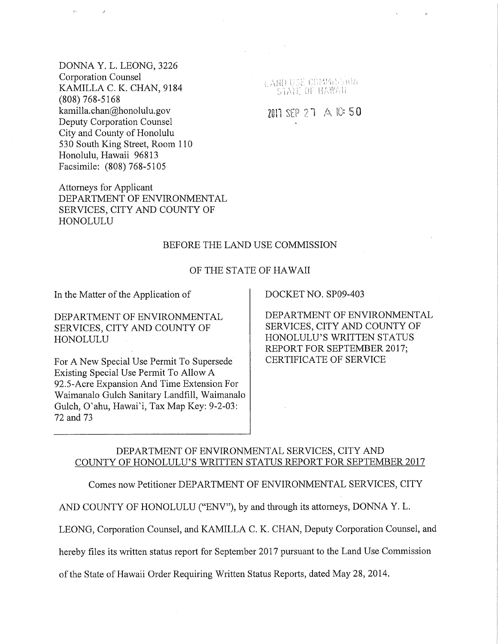DONNA Y. L. LEONG, 3226<br>Corporation Counsel<br>X + 1 X X X X X X X X X X X 2121 **Corporation Counsel**<br> **KAMILLA C. K. CHAN, 9184** *LAND USE COMMISSION* (808) 768-5168 kamilla.chan@honolulu.gov 2011 SEP 27  $\land$  10: 50 Deputy Corporation Counsel City and County of Honolulu 530 South King Street, Room 110 Honolulu, Hawaii 96813 Facsimile: (808) 768-5105

Attorneys for Applicant DEPARTMENT OF ENVIRONMENTAL SERVICES, CITY AND COUNTY OF HONOLULU

### BEFORE THE LAND USE COMMISSION

## OF THE STATE OF HAWAII

In the Matter of the Application of

DEPARTMENT OF ENVIRONMENTAL SERVICES, CITY AND COUNTY OF HONOLULU

For A New Special Use Permit To Supersede Existing Special Use Permit To Allow A 92.5-Acre Expansion And Time Extension For Waimanalo Gulch Sanitary Landfill, Waimanalo Gulch, O'ahu, Hawai'i, Tax Map Key: 9-2-03: 72 and 73

DOCKET NO. SP09-403

DEPARTMENT OF ENVIRONMENTAL SERVICES, CITY AND COUNTY OF HONOLULU'S WRITTEN STATUS REPORT FOR SEPTEMBER 2017; CERTIFICATE OF SERVICE

## DEPARTMENT OF ENVIRONMENTAL SERVICES, CITY AND COUNTY OF HONOLULU'S WRITTEN STATUS REPORT FOR SEPTEMBER 2017

Comes now Petitioner DEPARTMENT OF ENVIRONMENTAL SERVICES, CITY

AND COUNTY OF HONOLULU ("ENV"), by and through its attorneys, DONNA Y.L.

LEONG, Corporation Counsel, and KAMILLA C. K. CHAN, Deputy Corporation Counsel, and

hereby files its written status report for September 2017 pursuant to the Land Use Commission

of the State of Hawaii Order Requiring Written Status Reports, dated May 28, 2014.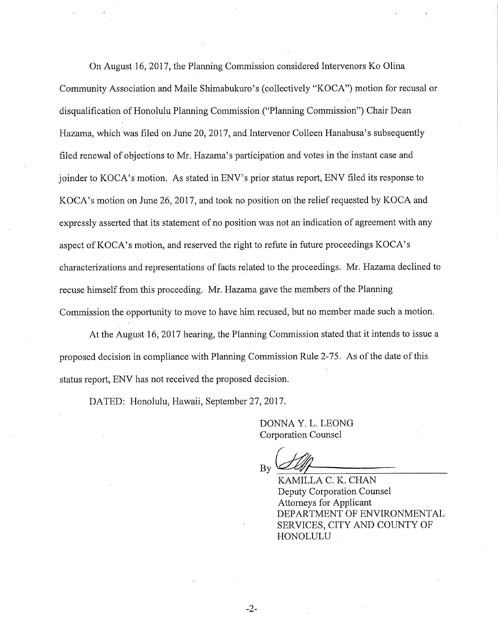On August 16, 2017, the Planning Commission considered Interveners Ko Olina Community Association and Maile Shimabukuro's (collectively "KOCA") motion for recusal or disqualification of Honolulu Planning Commission ("Planning Commission") Chair Dean Hazama, which was filed on June 20, 2017, and Intervenor Colleen Hanabusa's subsequently filed renewal of objections to Mr. Hazama's participation and votes in the instant case and joinder to KOCA's motion. As stated in ENV's prior status report, ENV filed its response to KOCA's motion on June 26, 2017, and took no position on the relief requested by KOCA and expressly asserted that its statement of no position was not an indication of agreement with any aspect of KOCA's motion, and reserved the right to refute in future proceedings KOCA's characterizations and representations of facts related to the proceedings. Mr. Hazama declined to recuse himself from this proceeding. Mr. Hazama gave the members of the Planning Commission the opportunity to move to have him recused, but no member made such a motion.

At the August 16, 2017 hearing, the Planning Commission stated that it intends to issue a proposed decision in compliance with Planning Commission Rule 2-75. As of the date of this status report, ENV has not received the proposed decision.

DATED: Honolulu, Hawaii, September 27, 2017.

DONNA Y. L. LEONG Corporation Counsel

By

KAMILLA C. K. CHAN Deputy Corporation Counsel Attorneys for Applicant DEPARTMENT OF ENVIRONMENTAL SERVICES, CITY AND COUNTY OF HONOLULU

-2-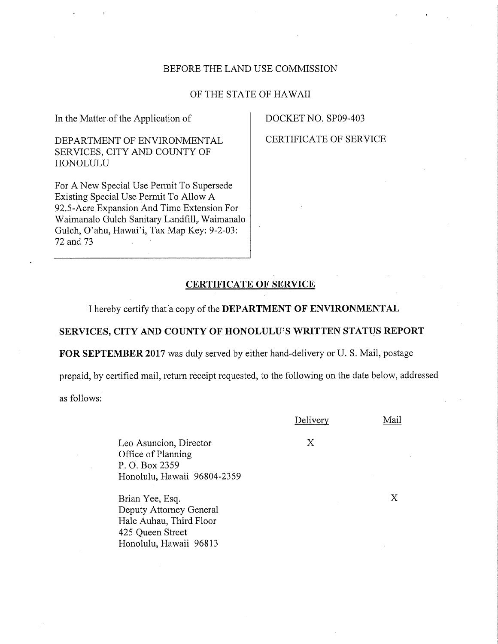## BEFORE THE LAND USE COMMISSION

# OF THE STATE OF HAWAII

In the Matter of the Application of DOCKET NO. SP09-403

# SERVICES, CITY AND COUNTY OF HONOLULU

For A New Special Use Permit To Supersede Existing Special Use Permit To Allow A 92.5-Acre Expansion And Time Extension For Waimanalo Gulch Sanitary Landfill, Waimanalo Gulch, O'ahu, Hawai'i, Tax Map Key: 9-2-03: 72 and 73

DEPARTMENT OF ENVIRONMENTAL CERTIFICATE OF SERVICE

## CERTIFICATE OF SERVICE

I hereby certify that a copy of the DEPARTMENT OF ENVIRONMENTAL

#### SERVICES, CITY AND COUNTY OF HONOLULU'S WRITTEN STATUS REPORT

FOR SEPTEMBER 2017 was duly served by either hand-delivery or U. S. Mail, postage

prepaid, by certified mail, return receipt requested, to the following on the date below, addressed

as follows:

|                                                                                                                     | Delivery | Mail |
|---------------------------------------------------------------------------------------------------------------------|----------|------|
| Leo Asuncion, Director<br>Office of Planning<br>P. O. Box 2359<br>Honolulu, Hawaii 96804-2359                       | Χ        |      |
| Brian Yee, Esq.<br>Deputy Attorney General<br>Hale Auhau, Third Floor<br>425 Queen Street<br>Honolulu, Hawaii 96813 |          | Х    |